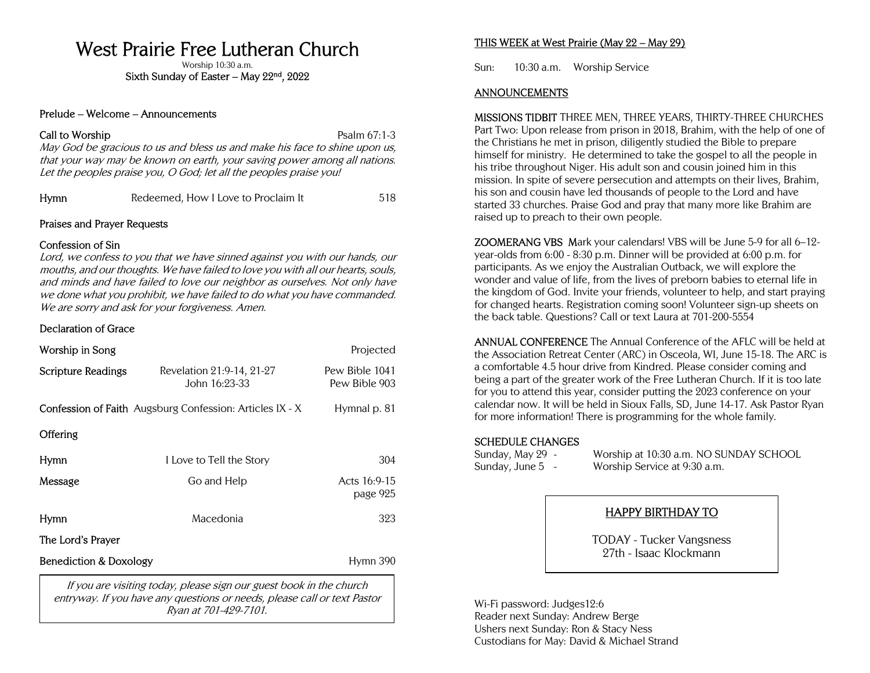# West Prairie Free Lutheran Church

Worship 10:30 a.m.

Sixth Sunday of Easter – May 22<sup>nd</sup>, 2022

#### Prelude – Welcome – Announcements

### Call to Worship **Psalm 67:1-3**

May God be gracious to us and bless us and make his face to shine upon us, that your way may be known on earth, your saving power among all nations. Let the peoples praise you, O God; let all the peoples praise you!

| Hymn | Redeemed, How I Love to Proclaim It | 518 |
|------|-------------------------------------|-----|
|------|-------------------------------------|-----|

### Praises and Prayer Requests

### Confession of Sin

Lord, we confess to you that we have sinned against you with our hands, our mouths, and our thoughts. We have failed to love you with all our hearts, souls, and minds and have failed to love our neighbor as ourselves. Not only have we done what you prohibit, we have failed to do what you have commanded. We are sorry and ask for your forgiveness. Amen.

## Declaration of Grace

| Worship in Song                                                                                                                               |                                                                 | Projected                       |  |
|-----------------------------------------------------------------------------------------------------------------------------------------------|-----------------------------------------------------------------|---------------------------------|--|
| <b>Scripture Readings</b>                                                                                                                     | Revelation 21:9-14, 21-27<br>John 16:23-33                      | Pew Bible 1041<br>Pew Bible 903 |  |
|                                                                                                                                               | <b>Confession of Faith</b> Augsburg Confession: Articles IX - X | Hymnal p. 81                    |  |
| <b>Offering</b>                                                                                                                               |                                                                 |                                 |  |
| Hymn                                                                                                                                          | I Love to Tell the Story                                        | 304                             |  |
| Message                                                                                                                                       | Go and Help                                                     | Acts 16:9-15<br>page 925        |  |
| <b>Hymn</b>                                                                                                                                   | Macedonia                                                       | 323                             |  |
| The Lord's Prayer                                                                                                                             |                                                                 |                                 |  |
| <b>Benediction &amp; Doxology</b>                                                                                                             | Hymn 390                                                        |                                 |  |
| If you are visiting today, please sign our guest book in the church<br>optrayer If you have any questions or peads, place call or toyt Dastor |                                                                 |                                 |  |

entryway. If you have any questions or needs, please call or text Pastor Ryan at 701-429-7101.

## THIS WEEK at West Prairie (May 22 – May 29)

Sun: 10:30 a.m. Worship Service

#### ANNOUNCEMENTS

MISSIONS TIDBIT THREE MEN, THREE YEARS, THIRTY-THREE CHURCHES Part Two: Upon release from prison in 2018, Brahim, with the help of one of the Christians he met in prison, diligently studied the Bible to prepare himself for ministry. He determined to take the gospel to all the people in his tribe throughout Niger. His adult son and cousin joined him in this mission. In spite of severe persecution and attempts on their lives, Brahim, his son and cousin have led thousands of people to the Lord and have started 33 churches. Praise God and pray that many more like Brahim are raised up to preach to their own people.

ZOOMERANG VBS Mark your calendars! VBS will be June 5-9 for all 6–12 year-olds from 6:00 - 8:30 p.m. Dinner will be provided at 6:00 p.m. for participants. As we enjoy the Australian Outback, we will explore the wonder and value of life, from the lives of preborn babies to eternal life in the kingdom of God. Invite your friends, volunteer to help, and start praying for changed hearts. Registration coming soon! Volunteer sign-up sheets on the back table. Questions? Call or text Laura at 701-200-5554

ANNUAL CONFERENCE The Annual Conference of the AFLC will be held at the Association Retreat Center (ARC) in Osceola, WI, June 15-18. The ARC is a comfortable 4.5 hour drive from Kindred. Please consider coming and being a part of the greater work of the Free Lutheran Church. If it is too late for you to attend this year, consider putting the 2023 conference on your calendar now. It will be held in Sioux Falls, SD, June 14-17. Ask Pastor Ryan for more information! There is programming for the whole family.

## SCHEDULE CHANGES

Sunday, May 29 - Worship at 10:30 a.m. NO SUNDAY SCHOOL Sunday, June 5 - Worship Service at 9:30 a.m.

## HAPPY BIRTHDAY TO

TODAY - Tucker Vangsness 27th - Isaac Klockmann

Wi-Fi password: Judges12:6 Reader next Sunday: Andrew Berge Ushers next Sunday: Ron & Stacy Ness Custodians for May: David & Michael Strand